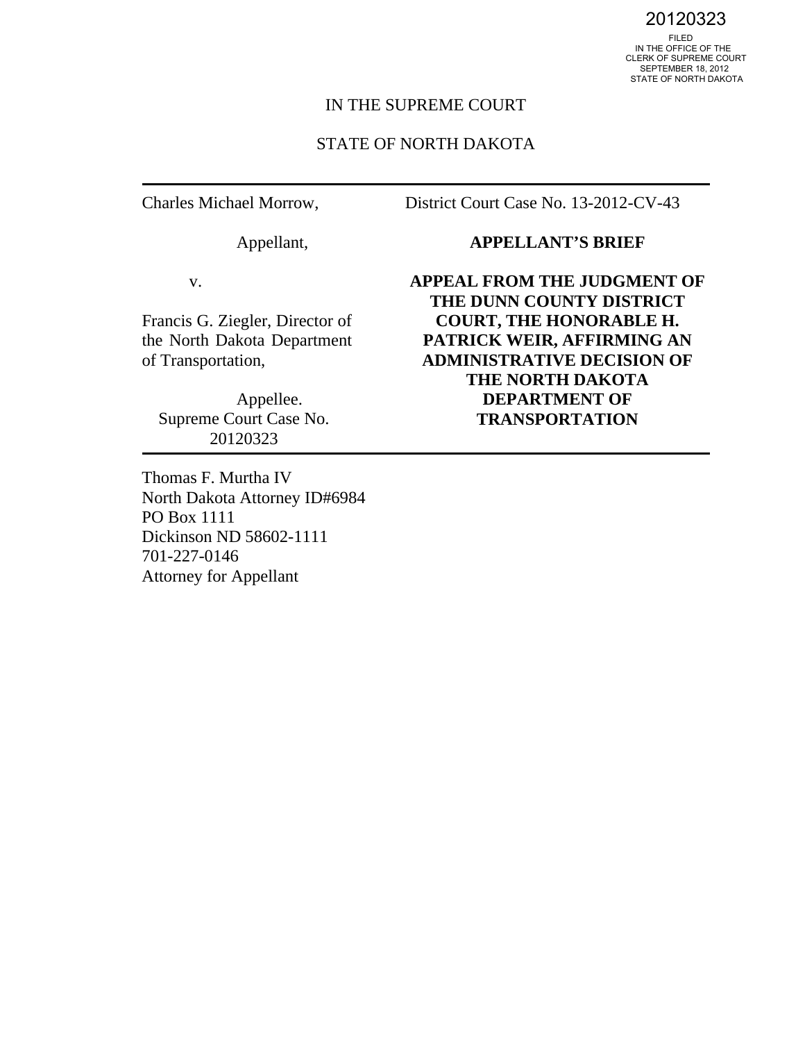20120323<br>FILED<br>IN THE OFFICE OF THE CLERK OF SUPREME COURT SEPTEMBER 18, 2012 STATE OF NORTH DAKOTA

#### IN THE SUPREME COURT

#### STATE OF NORTH DAKOTA

Charles Michael Morrow,

Appellant,

District Court Case No. 13-2012-CV-43

v.

Francis G. Ziegler, Director of the North Dakota Department of Transportation,

 Appellee. Supreme Court Case No. 20120323

Thomas F. Murtha IV North Dakota Attorney ID#6984 PO Box 1111 Dickinson ND 58602-1111 701-227-0146 Attorney for Appellant

#### **APPELLANT'S BRIEF**

**APPEAL FROM THE JUDGMENT OF THE DUNN COUNTY DISTRICT COURT, THE HONORABLE H. PATRICK WEIR, AFFIRMING AN ADMINISTRATIVE DECISION OF THE NORTH DAKOTA DEPARTMENT OF TRANSPORTATION**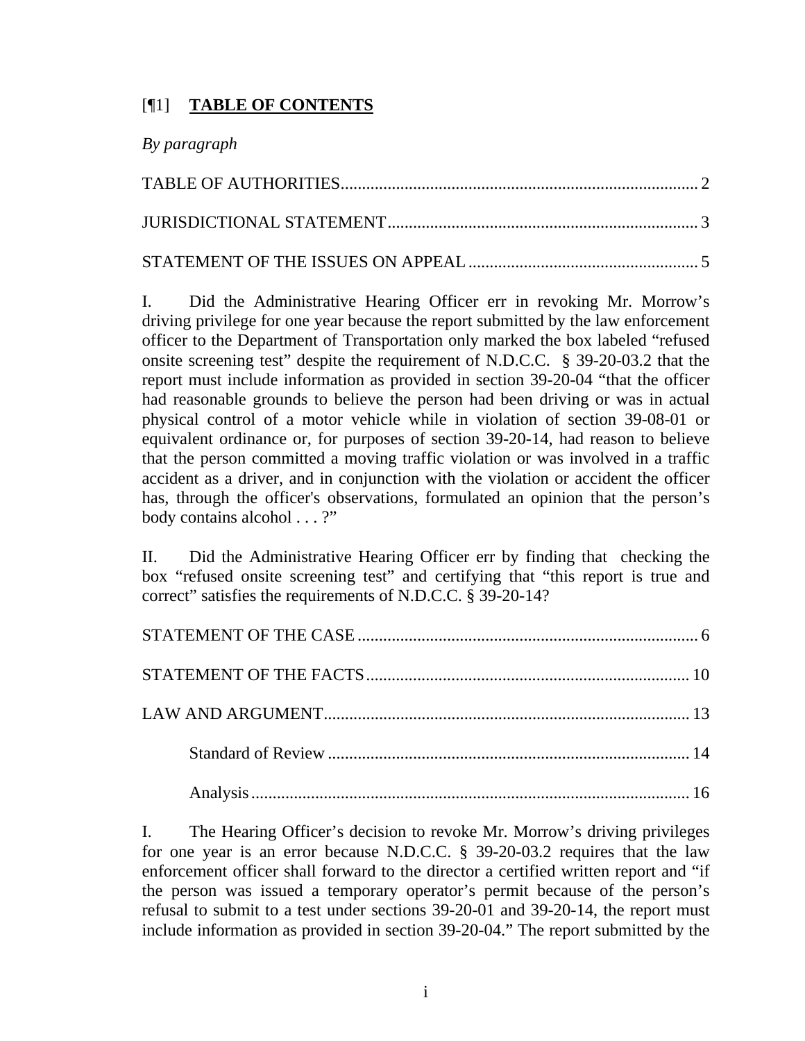## [¶1] **TABLE OF CONTENTS**

|  | By paragraph |
|--|--------------|
|--|--------------|

I. Did the Administrative Hearing Officer err in revoking Mr. Morrow's driving privilege for one year because the report submitted by the law enforcement officer to the Department of Transportation only marked the box labeled "refused onsite screening test" despite the requirement of N.D.C.C. § 39-20-03.2 that the report must include information as provided in section 39-20-04 "that the officer had reasonable grounds to believe the person had been driving or was in actual physical control of a motor vehicle while in violation of section 39-08-01 or equivalent ordinance or, for purposes of section 39-20-14, had reason to believe that the person committed a moving traffic violation or was involved in a traffic accident as a driver, and in conjunction with the violation or accident the officer has, through the officer's observations, formulated an opinion that the person's body contains alcohol . . . ?"

II. Did the Administrative Hearing Officer err by finding that checking the box "refused onsite screening test" and certifying that "this report is true and correct" satisfies the requirements of N.D.C.C. § 39-20-14?

I. The Hearing Officer's decision to revoke Mr. Morrow's driving privileges for one year is an error because N.D.C.C. § 39-20-03.2 requires that the law enforcement officer shall forward to the director a certified written report and "if the person was issued a temporary operator's permit because of the person's refusal to submit to a test under sections 39-20-01 and 39-20-14, the report must include information as provided in section 39-20-04." The report submitted by the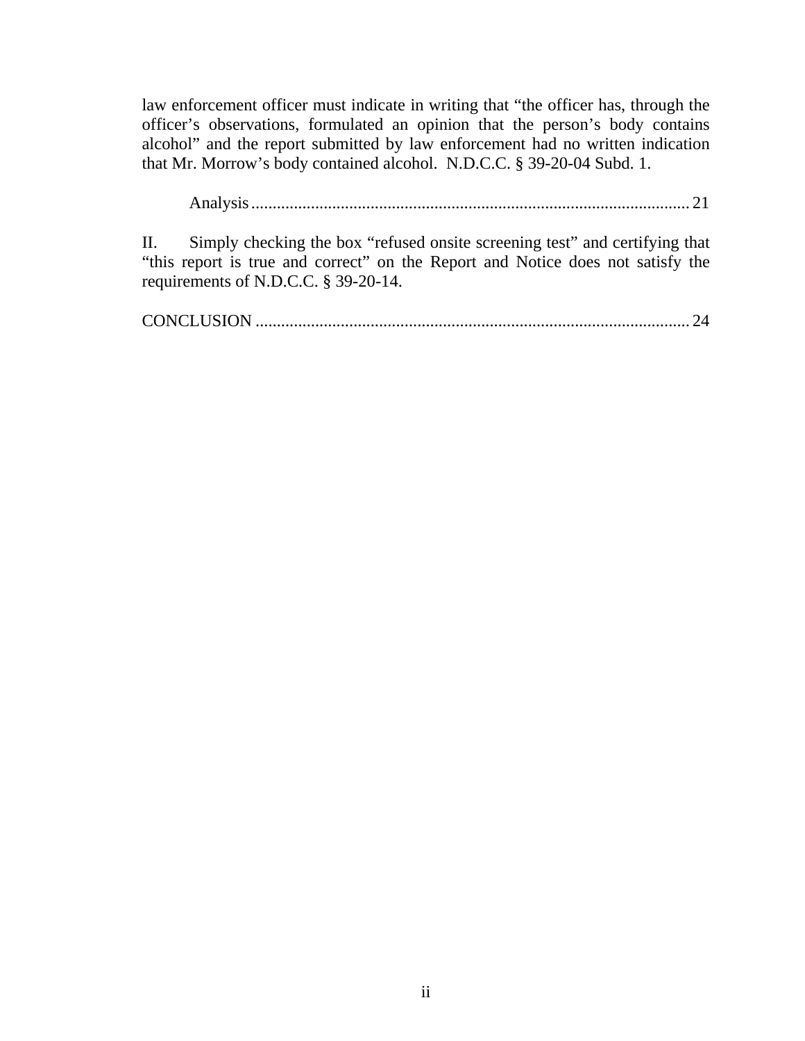law enforcement officer must indicate in writing that "the officer has, through the officer's observations, formulated an opinion that the person's body contains alcohol" and the report submitted by law enforcement had no written indication that Mr. Morrow's body contained alcohol. N.D.C.C. § 39-20-04 Subd. 1.

Analysis ....................................................................................................... 21

II. Simply checking the box "refused onsite screening test" and certifying that "this report is true and correct" on the Report and Notice does not satisfy the requirements of N.D.C.C. § 39-20-14.

CONCLUSION ...................................................................................................... 24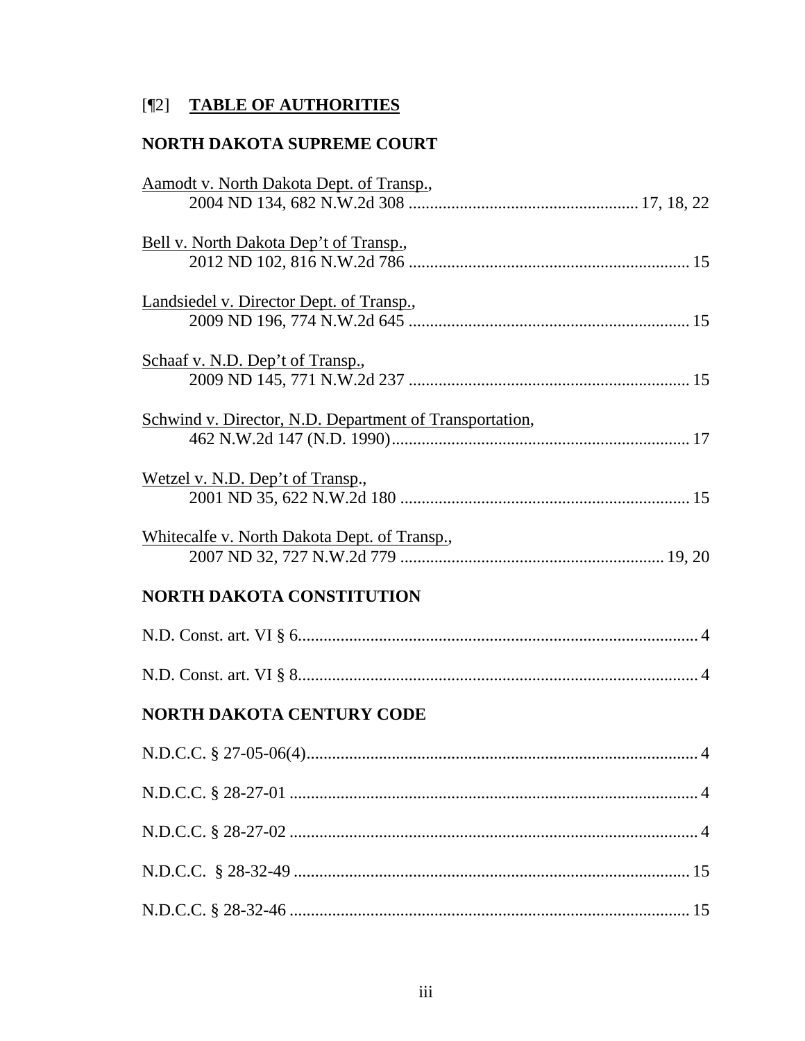# [¶2] **TABLE OF AUTHORITIES**

## **NORTH DAKOTA SUPREME COURT**

| Aamodt v. North Dakota Dept. of Transp.,                |
|---------------------------------------------------------|
|                                                         |
| Bell v. North Dakota Dep't of Transp.,                  |
|                                                         |
| Landsiedel v. Director Dept. of Transp.,                |
|                                                         |
| Schaaf v. N.D. Dep't of Transp.,                        |
|                                                         |
| Schwind v. Director, N.D. Department of Transportation, |
|                                                         |
| Wetzel v. N.D. Dep't of Transp.,                        |
|                                                         |
| Whitecalfe v. North Dakota Dept. of Transp.,            |
|                                                         |
| <b>NORTH DAKOTA CONSTITUTION</b>                        |
|                                                         |
|                                                         |
| <b>NORTH DAKOTA CENTURY CODE</b>                        |
|                                                         |
|                                                         |
|                                                         |
|                                                         |
|                                                         |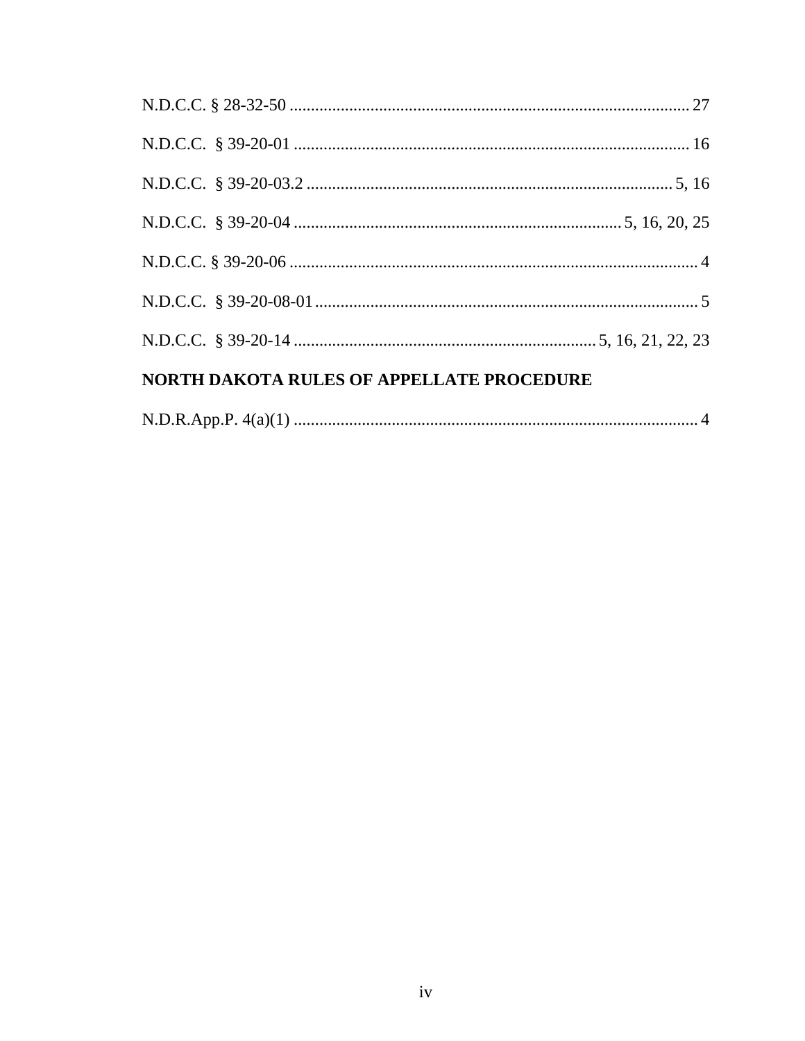| <b>NORTH DAKOTA RULES OF APPELLATE PROCEDURE</b> |  |  |
|--------------------------------------------------|--|--|
|                                                  |  |  |
|                                                  |  |  |
|                                                  |  |  |
|                                                  |  |  |
|                                                  |  |  |
|                                                  |  |  |
|                                                  |  |  |

|--|--|--|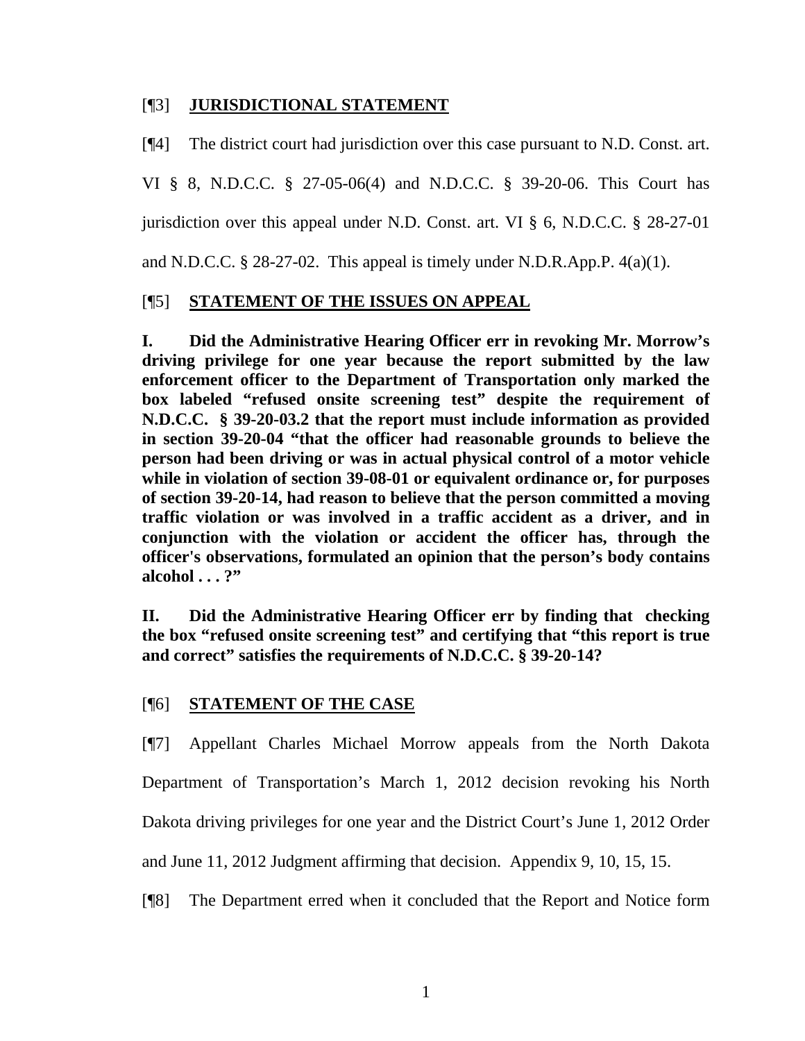## [¶3] **JURISDICTIONAL STATEMENT**

[¶4] The district court had jurisdiction over this case pursuant to N.D. Const. art.

VI § 8, N.D.C.C. § 27-05-06(4) and N.D.C.C. § 39-20-06. This Court has jurisdiction over this appeal under N.D. Const. art. VI § 6, N.D.C.C. § 28-27-01 and N.D.C.C. § 28-27-02. This appeal is timely under N.D.R.App.P. 4(a)(1).

## [¶5] **STATEMENT OF THE ISSUES ON APPEAL**

**I. Did the Administrative Hearing Officer err in revoking Mr. Morrow's driving privilege for one year because the report submitted by the law enforcement officer to the Department of Transportation only marked the box labeled "refused onsite screening test" despite the requirement of N.D.C.C. § 39-20-03.2 that the report must include information as provided in section 39-20-04 "that the officer had reasonable grounds to believe the person had been driving or was in actual physical control of a motor vehicle while in violation of section 39-08-01 or equivalent ordinance or, for purposes of section 39-20-14, had reason to believe that the person committed a moving traffic violation or was involved in a traffic accident as a driver, and in conjunction with the violation or accident the officer has, through the officer's observations, formulated an opinion that the person's body contains alcohol . . . ?"** 

**II. Did the Administrative Hearing Officer err by finding that checking the box "refused onsite screening test" and certifying that "this report is true and correct" satisfies the requirements of N.D.C.C. § 39-20-14?** 

## [¶6] **STATEMENT OF THE CASE**

[¶7] Appellant Charles Michael Morrow appeals from the North Dakota Department of Transportation's March 1, 2012 decision revoking his North Dakota driving privileges for one year and the District Court's June 1, 2012 Order and June 11, 2012 Judgment affirming that decision. Appendix 9, 10, 15, 15.

[¶8] The Department erred when it concluded that the Report and Notice form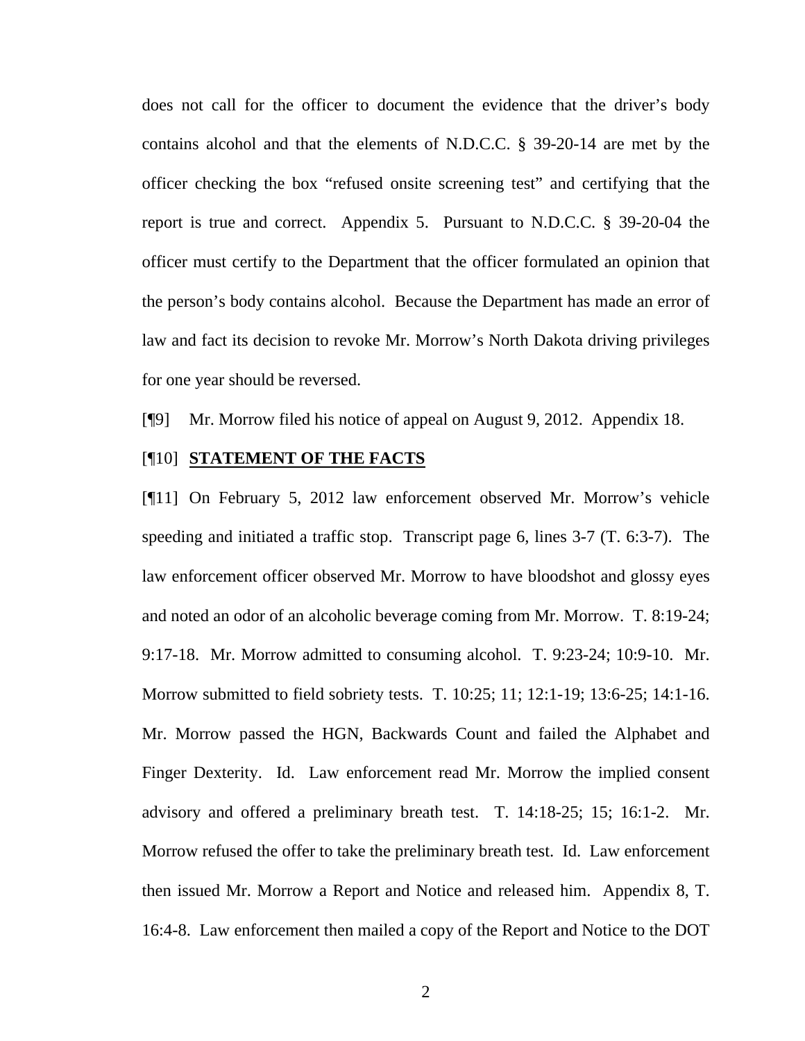does not call for the officer to document the evidence that the driver's body contains alcohol and that the elements of N.D.C.C. § 39-20-14 are met by the officer checking the box "refused onsite screening test" and certifying that the report is true and correct. Appendix 5. Pursuant to N.D.C.C. § 39-20-04 the officer must certify to the Department that the officer formulated an opinion that the person's body contains alcohol. Because the Department has made an error of law and fact its decision to revoke Mr. Morrow's North Dakota driving privileges for one year should be reversed.

[¶9] Mr. Morrow filed his notice of appeal on August 9, 2012. Appendix 18.

#### [¶10] **STATEMENT OF THE FACTS**

[¶11] On February 5, 2012 law enforcement observed Mr. Morrow's vehicle speeding and initiated a traffic stop. Transcript page 6, lines 3-7 (T. 6:3-7). The law enforcement officer observed Mr. Morrow to have bloodshot and glossy eyes and noted an odor of an alcoholic beverage coming from Mr. Morrow. T. 8:19-24; 9:17-18. Mr. Morrow admitted to consuming alcohol. T. 9:23-24; 10:9-10. Mr. Morrow submitted to field sobriety tests. T. 10:25; 11; 12:1-19; 13:6-25; 14:1-16. Mr. Morrow passed the HGN, Backwards Count and failed the Alphabet and Finger Dexterity. Id. Law enforcement read Mr. Morrow the implied consent advisory and offered a preliminary breath test. T. 14:18-25; 15; 16:1-2. Mr. Morrow refused the offer to take the preliminary breath test. Id. Law enforcement then issued Mr. Morrow a Report and Notice and released him. Appendix 8, T. 16:4-8. Law enforcement then mailed a copy of the Report and Notice to the DOT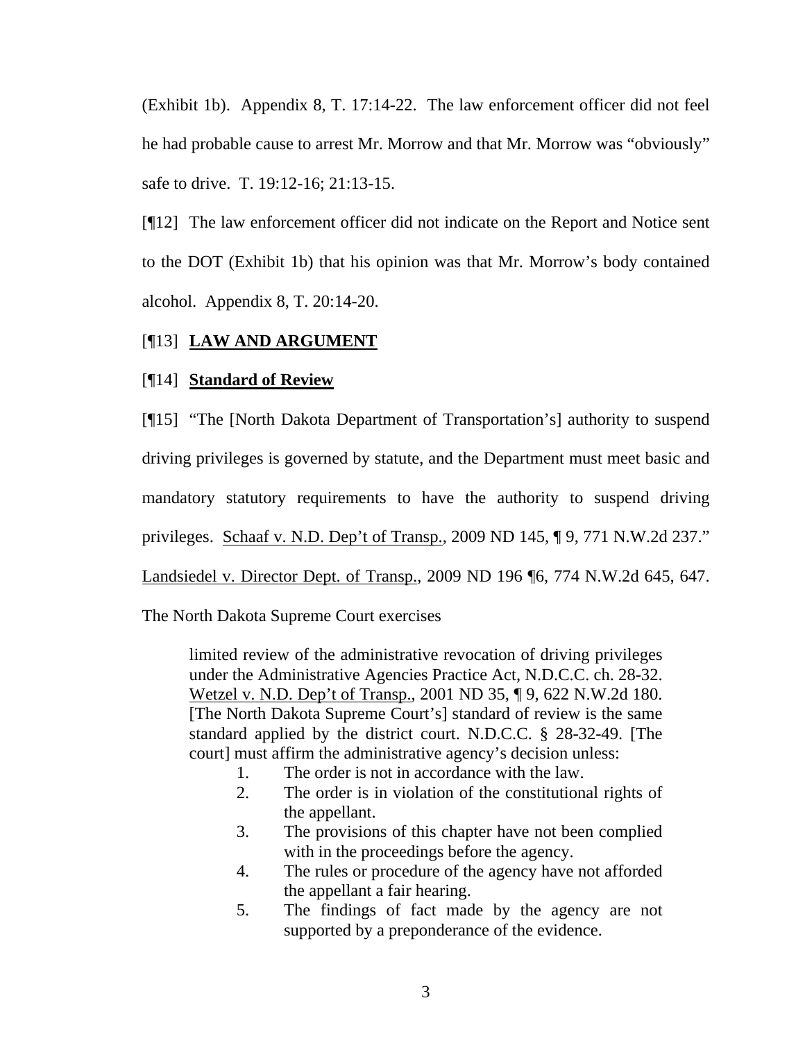(Exhibit 1b). Appendix 8, T. 17:14-22. The law enforcement officer did not feel he had probable cause to arrest Mr. Morrow and that Mr. Morrow was "obviously" safe to drive. T. 19:12-16; 21:13-15.

[¶12] The law enforcement officer did not indicate on the Report and Notice sent to the DOT (Exhibit 1b) that his opinion was that Mr. Morrow's body contained alcohol. Appendix 8, T. 20:14-20.

### [¶13] **LAW AND ARGUMENT**

### [¶14] **Standard of Review**

[¶15] "The [North Dakota Department of Transportation's] authority to suspend driving privileges is governed by statute, and the Department must meet basic and mandatory statutory requirements to have the authority to suspend driving privileges. Schaaf v. N.D. Dep't of Transp., 2009 ND 145, ¶ 9, 771 N.W.2d 237." Landsiedel v. Director Dept. of Transp., 2009 ND 196 ¶6, 774 N.W.2d 645, 647.

The North Dakota Supreme Court exercises

limited review of the administrative revocation of driving privileges under the Administrative Agencies Practice Act, N.D.C.C. ch. 28-32. Wetzel v. N.D. Dep't of Transp., 2001 ND 35, ¶ 9, 622 N.W.2d 180. [The North Dakota Supreme Court's] standard of review is the same standard applied by the district court. N.D.C.C. § 28-32-49. [The court] must affirm the administrative agency's decision unless:

- 1. The order is not in accordance with the law.
- 2. The order is in violation of the constitutional rights of the appellant.
- 3. The provisions of this chapter have not been complied with in the proceedings before the agency.
- 4. The rules or procedure of the agency have not afforded the appellant a fair hearing.
- 5. The findings of fact made by the agency are not supported by a preponderance of the evidence.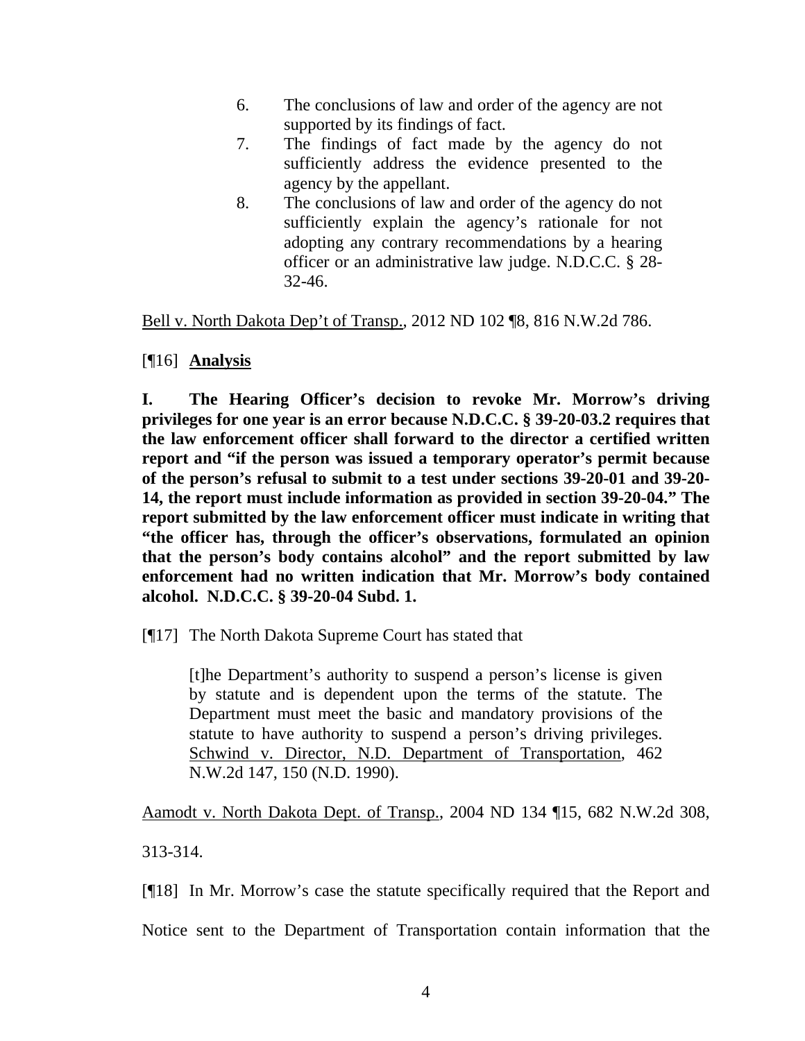- 6. The conclusions of law and order of the agency are not supported by its findings of fact.
- 7. The findings of fact made by the agency do not sufficiently address the evidence presented to the agency by the appellant.
- 8. The conclusions of law and order of the agency do not sufficiently explain the agency's rationale for not adopting any contrary recommendations by a hearing officer or an administrative law judge. N.D.C.C. § 28- 32-46.

Bell v. North Dakota Dep't of Transp., 2012 ND 102 ¶8, 816 N.W.2d 786.

## [¶16] **Analysis**

**I. The Hearing Officer's decision to revoke Mr. Morrow's driving privileges for one year is an error because N.D.C.C. § 39-20-03.2 requires that the law enforcement officer shall forward to the director a certified written report and "if the person was issued a temporary operator's permit because of the person's refusal to submit to a test under sections 39-20-01 and 39-20- 14, the report must include information as provided in section 39-20-04." The report submitted by the law enforcement officer must indicate in writing that "the officer has, through the officer's observations, formulated an opinion that the person's body contains alcohol" and the report submitted by law enforcement had no written indication that Mr. Morrow's body contained alcohol. N.D.C.C. § 39-20-04 Subd. 1.** 

[¶17] The North Dakota Supreme Court has stated that

[t]he Department's authority to suspend a person's license is given by statute and is dependent upon the terms of the statute. The Department must meet the basic and mandatory provisions of the statute to have authority to suspend a person's driving privileges. Schwind v. Director, N.D. Department of Transportation, 462 N.W.2d 147, 150 (N.D. 1990).

Aamodt v. North Dakota Dept. of Transp., 2004 ND 134 ¶15, 682 N.W.2d 308, 313-314.

[¶18] In Mr. Morrow's case the statute specifically required that the Report and Notice sent to the Department of Transportation contain information that the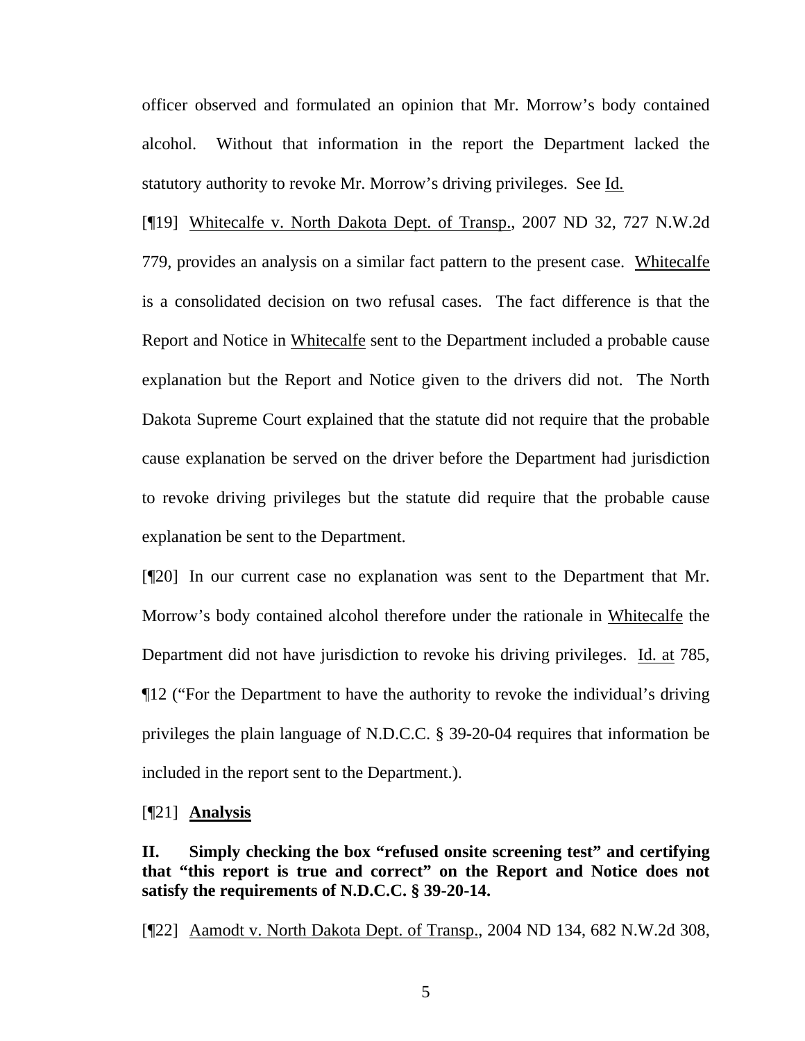officer observed and formulated an opinion that Mr. Morrow's body contained alcohol. Without that information in the report the Department lacked the statutory authority to revoke Mr. Morrow's driving privileges. See Id.

[¶19] Whitecalfe v. North Dakota Dept. of Transp., 2007 ND 32, 727 N.W.2d 779, provides an analysis on a similar fact pattern to the present case. Whitecalfe is a consolidated decision on two refusal cases. The fact difference is that the Report and Notice in Whitecalfe sent to the Department included a probable cause explanation but the Report and Notice given to the drivers did not. The North Dakota Supreme Court explained that the statute did not require that the probable cause explanation be served on the driver before the Department had jurisdiction to revoke driving privileges but the statute did require that the probable cause explanation be sent to the Department.

[¶20] In our current case no explanation was sent to the Department that Mr. Morrow's body contained alcohol therefore under the rationale in Whitecalfe the Department did not have jurisdiction to revoke his driving privileges. Id. at 785, ¶12 ("For the Department to have the authority to revoke the individual's driving privileges the plain language of N.D.C.C. § 39-20-04 requires that information be included in the report sent to the Department.).

[¶21] **Analysis** 

**II. Simply checking the box "refused onsite screening test" and certifying that "this report is true and correct" on the Report and Notice does not satisfy the requirements of N.D.C.C. § 39-20-14.** 

[¶22] Aamodt v. North Dakota Dept. of Transp., 2004 ND 134, 682 N.W.2d 308,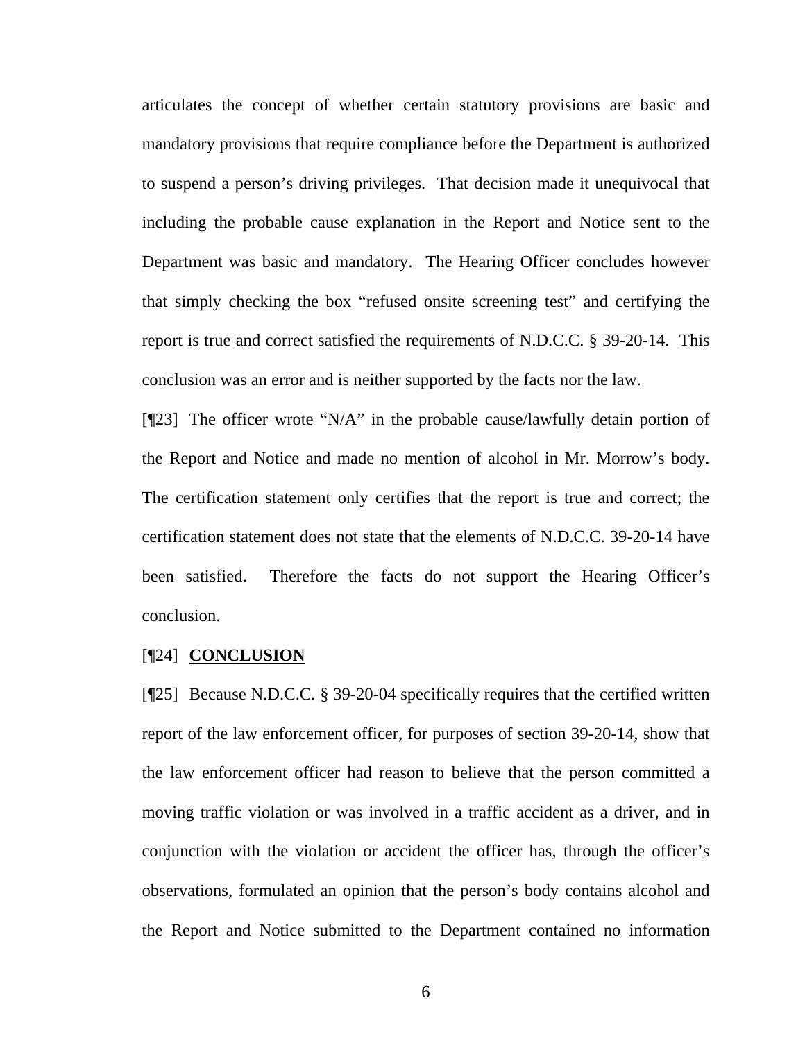articulates the concept of whether certain statutory provisions are basic and mandatory provisions that require compliance before the Department is authorized to suspend a person's driving privileges. That decision made it unequivocal that including the probable cause explanation in the Report and Notice sent to the Department was basic and mandatory. The Hearing Officer concludes however that simply checking the box "refused onsite screening test" and certifying the report is true and correct satisfied the requirements of N.D.C.C. § 39-20-14. This conclusion was an error and is neither supported by the facts nor the law.

[¶23] The officer wrote "N/A" in the probable cause/lawfully detain portion of the Report and Notice and made no mention of alcohol in Mr. Morrow's body. The certification statement only certifies that the report is true and correct; the certification statement does not state that the elements of N.D.C.C. 39-20-14 have been satisfied. Therefore the facts do not support the Hearing Officer's conclusion.

#### [¶24] **CONCLUSION**

[¶25] Because N.D.C.C. § 39-20-04 specifically requires that the certified written report of the law enforcement officer, for purposes of section 39-20-14, show that the law enforcement officer had reason to believe that the person committed a moving traffic violation or was involved in a traffic accident as a driver, and in conjunction with the violation or accident the officer has, through the officer's observations, formulated an opinion that the person's body contains alcohol and the Report and Notice submitted to the Department contained no information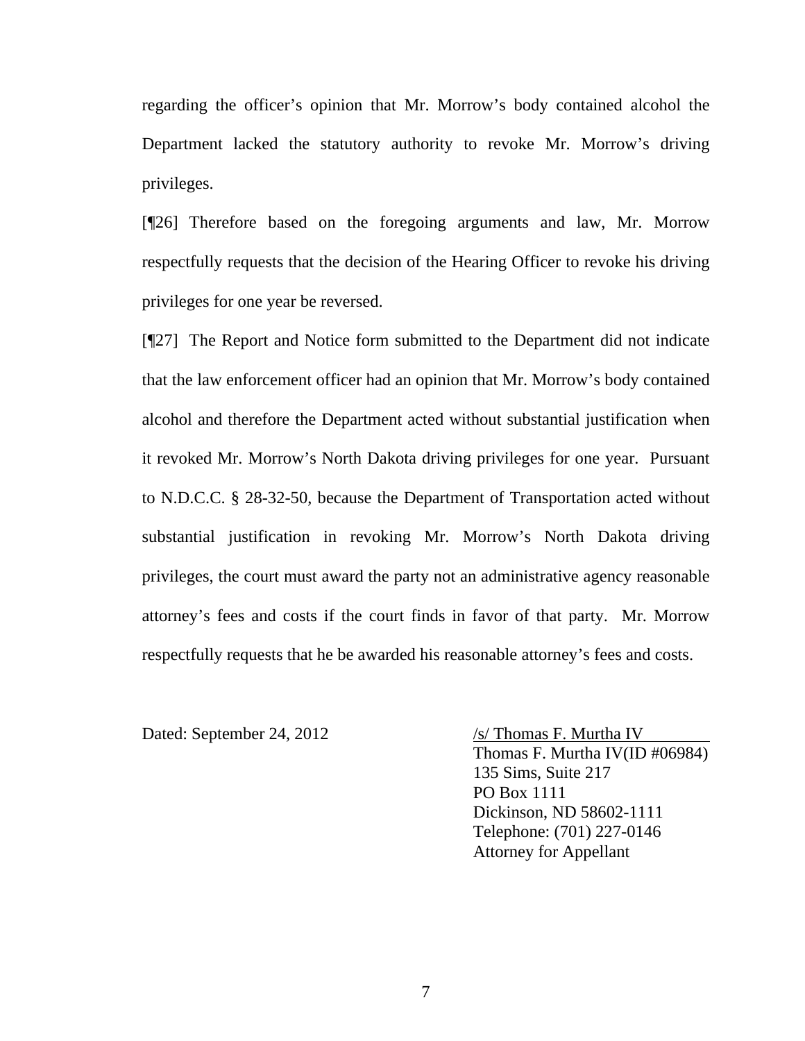regarding the officer's opinion that Mr. Morrow's body contained alcohol the Department lacked the statutory authority to revoke Mr. Morrow's driving privileges.

[¶26] Therefore based on the foregoing arguments and law, Mr. Morrow respectfully requests that the decision of the Hearing Officer to revoke his driving privileges for one year be reversed.

[¶27] The Report and Notice form submitted to the Department did not indicate that the law enforcement officer had an opinion that Mr. Morrow's body contained alcohol and therefore the Department acted without substantial justification when it revoked Mr. Morrow's North Dakota driving privileges for one year. Pursuant to N.D.C.C. § 28-32-50, because the Department of Transportation acted without substantial justification in revoking Mr. Morrow's North Dakota driving privileges, the court must award the party not an administrative agency reasonable attorney's fees and costs if the court finds in favor of that party. Mr. Morrow respectfully requests that he be awarded his reasonable attorney's fees and costs.

Dated: September 24, 2012 /s/ Thomas F. Murtha IV

Thomas F. Murtha IV(ID #06984) 135 Sims, Suite 217 PO Box 1111 Dickinson, ND 58602-1111 Telephone: (701) 227-0146 Attorney for Appellant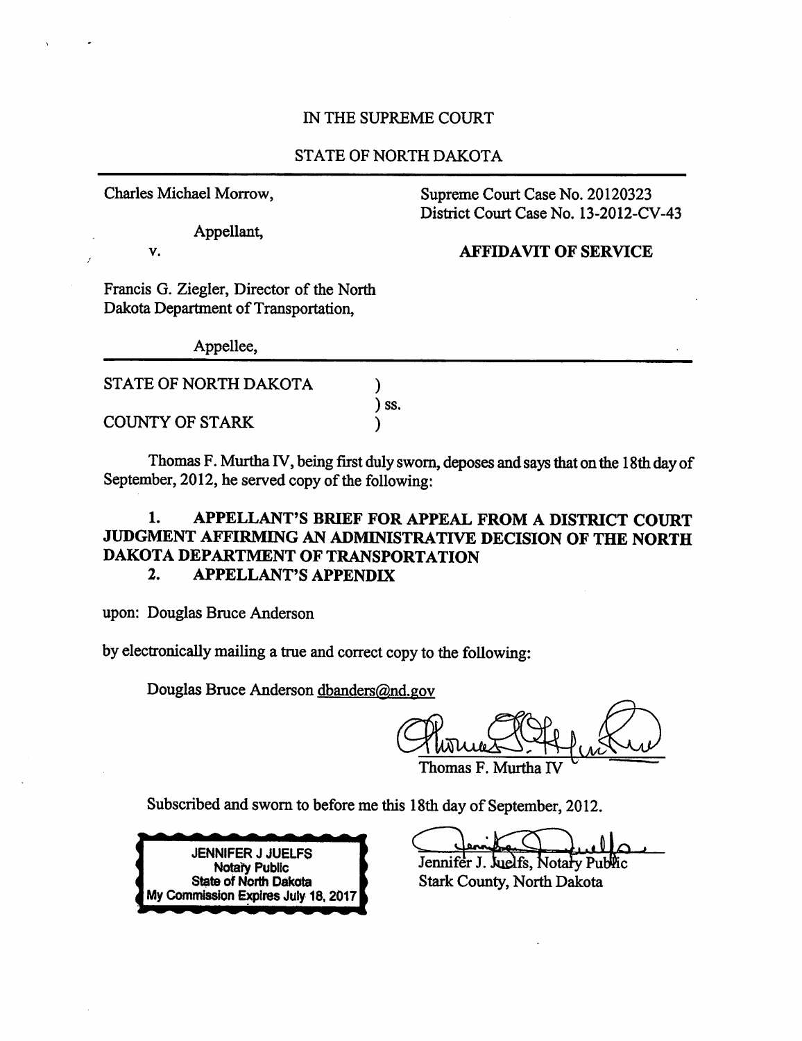#### IN THE SUPREME COURT

#### **STATE OF NORTH DAKOTA**

Charles Michael Morrow,

Appellant,

Supreme Court Case No. 20120323 District Court Case No. 13-2012-CV-43

#### V.

**AFFIDAVIT OF SERVICE** 

Francis G. Ziegler, Director of the North Dakota Department of Transportation.

Appellee,

| STATE OF NORTH DAKOTA |  |
|-----------------------|--|
| COUNTY OF STARK       |  |

Thomas F. Murtha IV, being first duly sworn, deposes and says that on the 18th day of September, 2012, he served copy of the following:

SS.

#### $\mathbf{1}$ . APPELLANT'S BRIEF FOR APPEAL FROM A DISTRICT COURT JUDGMENT AFFIRMING AN ADMINISTRATIVE DECISION OF THE NORTH DAKOTA DEPARTMENT OF TRANSPORTATION  $2.$ **APPELLANT'S APPENDIX**

upon: Douglas Bruce Anderson

by electronically mailing a true and correct copy to the following:

Douglas Bruce Anderson dbanders@nd.gov

Thomas F. Murtha

Subscribed and sworn to before me this 18th day of September, 2012.



Jennifer J. Juelfs, Notary Public

**Stark County, North Dakota**